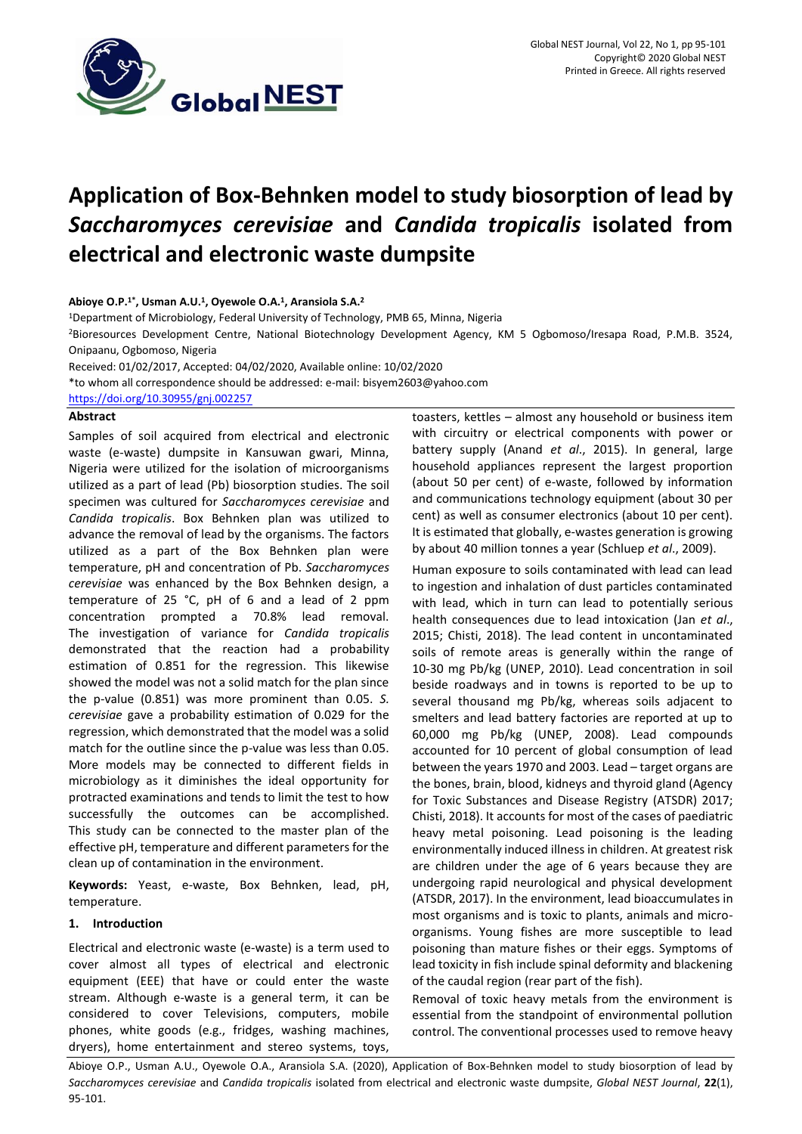

# **Application of Box-Behnken model to study biosorption of lead by**  *Saccharomyces cerevisiae* **and** *Candida tropicalis* **isolated from electrical and electronic waste dumpsite**

### **Abioye O.P. 1\* , Usman A.U. 1 , Oyewole O.A. 1 , Aransiola S.A. 2**

<sup>1</sup>Department of Microbiology, Federal University of Technology, PMB 65, Minna, Nigeria

<sup>2</sup>Bioresources Development Centre, National Biotechnology Development Agency, KM 5 Ogbomoso/Iresapa Road, P.M.B. 3524, Onipaanu, Ogbomoso, Nigeria

Received: 01/02/2017, Accepted: 04/02/2020, Available online: 10/02/2020

\*to whom all correspondence should be addressed: e-mail: bisyem2603@yahoo.com

<https://doi.org/10.30955/gnj.002257>

# **Abstract**

Samples of soil acquired from electrical and electronic waste (e-waste) dumpsite in Kansuwan gwari, Minna, Nigeria were utilized for the isolation of microorganisms utilized as a part of lead (Pb) biosorption studies. The soil specimen was cultured for *Saccharomyces cerevisiae* and *Candida tropicalis*. Box Behnken plan was utilized to advance the removal of lead by the organisms. The factors utilized as a part of the Box Behnken plan were temperature, pH and concentration of Pb. *Saccharomyces cerevisiae* was enhanced by the Box Behnken design, a temperature of 25 °C, pH of 6 and a lead of 2 ppm concentration prompted a 70.8% lead removal. The investigation of variance for *Candida tropicalis* demonstrated that the reaction had a probability estimation of 0.851 for the regression. This likewise showed the model was not a solid match for the plan since the p-value (0.851) was more prominent than 0.05. *S. cerevisiae* gave a probability estimation of 0.029 for the regression, which demonstrated that the model was a solid match for the outline since the p-value was less than 0.05. More models may be connected to different fields in microbiology as it diminishes the ideal opportunity for protracted examinations and tends to limit the test to how successfully the outcomes can be accomplished. This study can be connected to the master plan of the effective pH, temperature and different parameters for the clean up of contamination in the environment.

**Keywords:** Yeast, e-waste, Box Behnken, lead, pH, temperature.

## **1. Introduction**

Electrical and electronic waste (e-waste) is a term used to cover almost all types of electrical and electronic equipment (EEE) that have or could enter the waste stream. Although e-waste is a general term, it can be considered to cover Televisions, computers, mobile phones, white goods (e.g., fridges, washing machines, dryers), home entertainment and stereo systems, toys,

toasters, kettles – almost any household or business item with circuitry or electrical components with power or battery supply (Anand *et al*., 2015). In general, large household appliances represent the largest proportion (about 50 per cent) of e-waste, followed by information and communications technology equipment (about 30 per cent) as well as consumer electronics (about 10 per cent). It is estimated that globally, e-wastes generation is growing by about 40 million tonnes a year (Schluep *et al*., 2009).

Human exposure to soils contaminated with lead can lead to ingestion and inhalation of dust particles contaminated with lead, which in turn can lead to potentially serious health consequences due to lead intoxication (Jan *et al*., 2015; Chisti, 2018). The lead content in uncontaminated soils of remote areas is generally within the range of 10-30 mg Pb/kg (UNEP, 2010). Lead concentration in soil beside roadways and in towns is reported to be up to several thousand mg Pb/kg, whereas soils adjacent to smelters and lead battery factories are reported at up to 60,000 mg Pb/kg (UNEP, 2008). Lead compounds accounted for 10 percent of global consumption of lead between the years 1970 and 2003. Lead – target organs are the bones, brain, blood, kidneys and thyroid gland (Agency for Toxic Substances and Disease Registry (ATSDR) 2017; Chisti, 2018). It accounts for most of the cases of paediatric heavy metal poisoning. Lead poisoning is the leading environmentally induced illness in children. At greatest risk are children under the age of 6 years because they are undergoing rapid neurological and physical development (ATSDR, 2017). In the environment, lead bioaccumulates in most organisms and is toxic to plants, animals and microorganisms. Young fishes are more susceptible to lead poisoning than mature fishes or their eggs. Symptoms of lead toxicity in fish include spinal deformity and blackening of the caudal region (rear part of the fish).

Removal of toxic heavy metals from the environment is essential from the standpoint of environmental pollution control. The conventional processes used to remove heavy

Abioye O.P., Usman A.U., Oyewole O.A., Aransiola S.A. (2020), Application of Box-Behnken model to study biosorption of lead by *Saccharomyces cerevisiae* and *Candida tropicalis* isolated from electrical and electronic waste dumpsite, *Global NEST Journal*, **22**(1), 95-101.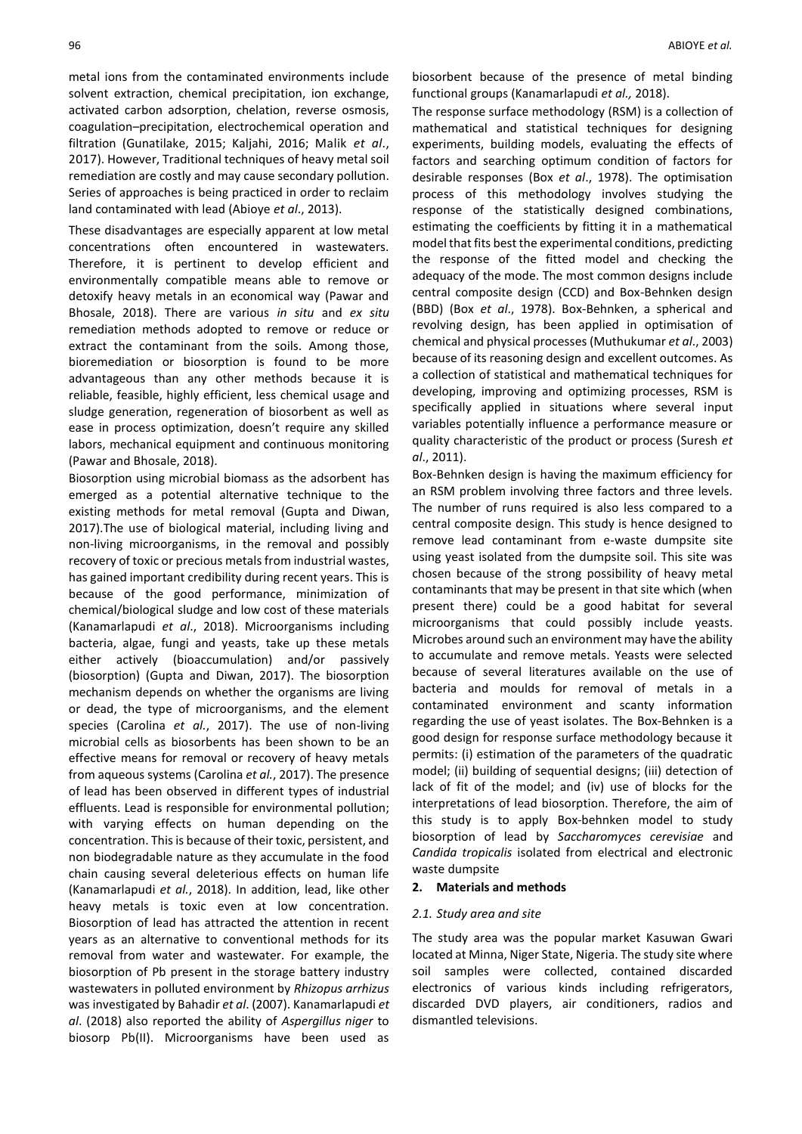metal ions from the contaminated environments include solvent extraction, chemical precipitation, ion exchange, activated carbon adsorption, chelation, reverse osmosis, coagulation–precipitation, electrochemical operation and filtration (Gunatilake, 2015; Kaljahi, 2016; Malik *et al*., 2017). However, Traditional techniques of heavy metal soil remediation are costly and may cause secondary pollution. Series of approaches is being practiced in order to reclaim land contaminated with lead (Abioye *et al*., 2013).

These disadvantages are especially apparent at low metal concentrations often encountered in wastewaters. Therefore, it is pertinent to develop efficient and environmentally compatible means able to remove or detoxify heavy metals in an economical way (Pawar and Bhosale, 2018). There are various *in situ* and *ex situ* remediation methods adopted to remove or reduce or extract the contaminant from the soils. Among those, bioremediation or biosorption is found to be more advantageous than any other methods because it is reliable, feasible, highly efficient, less chemical usage and sludge generation, regeneration of biosorbent as well as ease in process optimization, doesn't require any skilled labors, mechanical equipment and continuous monitoring (Pawar and Bhosale, 2018).

Biosorption using microbial biomass as the adsorbent has emerged as a potential alternative technique to the existing methods for metal removal [\(Gupta and Diwan,](https://www.sciencedirect.com/science/article/pii/S2215017X16301382#!) 2017).The use of biological material, including living and non-living microorganisms, in the removal and possibly recovery of toxic or precious metals from industrial wastes, has gained important credibility during recent years. This is because of the good performance, minimization of chemical/biological sludge and low cost of these materials (Kanamarlapudi *et al*., 2018). Microorganisms including bacteria, algae, fungi and yeasts, take up these metals either actively (bioaccumulation) and/or passively (biosorption) [\(Gupta and Diwan,](https://www.sciencedirect.com/science/article/pii/S2215017X16301382#!) 2017). The biosorption mechanism depends on whether the organisms are living or dead, the type of microorganisms, and the element species (Carolina *et al.*, 2017). The use of non-living microbial cells as biosorbents has been shown to be an effective means for removal or recovery of heavy metals from aqueous systems (Carolina *et al.*, 2017). The presence of lead has been observed in different types of industrial effluents. Lead is responsible for environmental pollution; with varying effects on human depending on the concentration. This is because of their toxic, persistent, and non biodegradable nature as they accumulate in the food chain causing several deleterious effects on human life (Kanamarlapudi *et al.*, 2018). In addition, lead, like other heavy metals is toxic even at low concentration. Biosorption of lead has attracted the attention in recent years as an alternative to conventional methods for its removal from water and wastewater. For example, the biosorption of Pb present in the storage battery industry wastewaters in polluted environment by *Rhizopus arrhizus*  was investigated b[y Bahadir](https://www.sciencedirect.com/science/article/pii/S0141022906005989#!) *et al*. (2007). Kanamarlapudi *et al*. (2018) also reported the ability of *Aspergillus niger* to biosorp Pb(II). Microorganisms have been used as

biosorbent because of the presence of metal binding functional groups (Kanamarlapudi *et al.,* 2018).

The response surface methodology (RSM) is a collection of mathematical and statistical techniques for designing experiments, building models, evaluating the effects of factors and searching optimum condition of factors for desirable responses (Box *et al*., 1978). The optimisation process of this methodology involves studying the response of the statistically designed combinations, estimating the coefficients by fitting it in a mathematical model that fits best the experimental conditions, predicting the response of the fitted model and checking the adequacy of the mode. The most common designs include central composite design (CCD) and Box-Behnken design (BBD) (Box *et al*., 1978). Box-Behnken, a spherical and revolving design, has been applied in optimisation of chemical and physical processes (Muthukumar *et al*., 2003) because of its reasoning design and excellent outcomes. As a collection of statistical and mathematical techniques for developing, improving and optimizing processes, RSM is specifically applied in situations where several input variables potentially influence a performance measure or quality characteristic of the product or process (Suresh *et al*., 2011).

Box-Behnken design is having the maximum efficiency for an RSM problem involving three factors and three levels. The number of runs required is also less compared to a central composite design. This study is hence designed to remove lead contaminant from e-waste dumpsite site using yeast isolated from the dumpsite soil. This site was chosen because of the strong possibility of heavy metal contaminants that may be present in that site which (when present there) could be a good habitat for several microorganisms that could possibly include yeasts. Microbes around such an environment may have the ability to accumulate and remove metals. Yeasts were selected because of several literatures available on the use of bacteria and moulds for removal of metals in a contaminated environment and scanty information regarding the use of yeast isolates. The Box-Behnken is a good design for response surface methodology because it permits: (i) estimation of the parameters of the quadratic model; (ii) building of sequential designs; (iii) detection of lack of fit of the model; and (iv) use of blocks for the interpretations of lead biosorption. Therefore, the aim of this study is to apply Box-behnken model to study biosorption of lead by *Saccharomyces cerevisiae* and *Candida tropicalis* isolated from electrical and electronic waste dumpsite

## **2. Materials and methods**

#### *2.1. Study area and site*

The study area was the popular market Kasuwan Gwari located at Minna, Niger State, Nigeria. The study site where soil samples were collected, contained discarded electronics of various kinds including refrigerators, discarded DVD players, air conditioners, radios and dismantled televisions.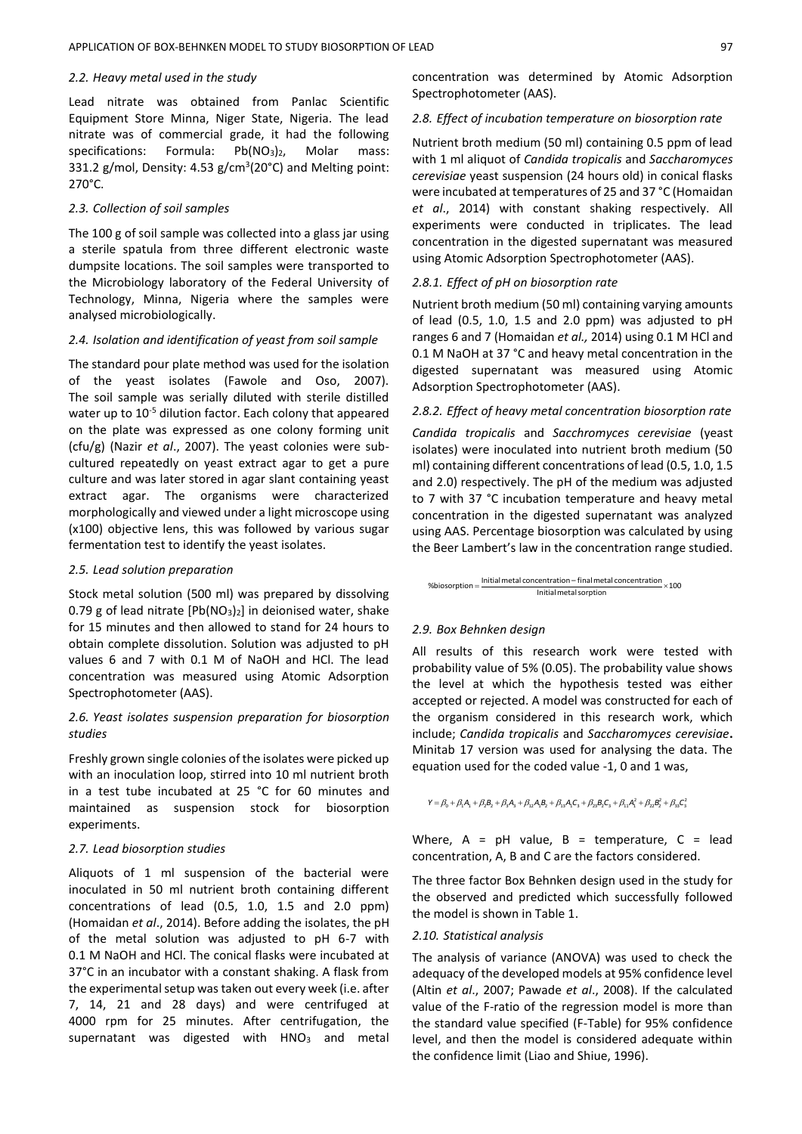#### *2.2. Heavy metal used in the study*

Lead nitrate was obtained from Panlac Scientific Equipment Store Minna, Niger State, Nigeria. The lead nitrate was of commercial grade, it had the following specifications: Formula: Pb(NO<sub>3</sub>)<sub>2</sub>, Molar mass: 331.2 g/mol, Density: 4.53  $g/cm^3$ (20°C) and Melting point: 270°C.

#### *2.3. Collection of soil samples*

The 100 g of soil sample was collected into a glass jar using a sterile spatula from three different electronic waste dumpsite locations. The soil samples were transported to the Microbiology laboratory of the Federal University of Technology, Minna, Nigeria where the samples were analysed microbiologically.

#### *2.4. Isolation and identification of yeast from soil sample*

The standard pour plate method was used for the isolation of the yeast isolates (Fawole and Oso, 2007). The soil sample was serially diluted with sterile distilled water up to 10<sup>-5</sup> dilution factor. Each colony that appeared on the plate was expressed as one colony forming unit (cfu/g) (Nazir *et al*., 2007). The yeast colonies were subcultured repeatedly on yeast extract agar to get a pure culture and was later stored in agar slant containing yeast extract agar. The organisms were characterized morphologically and viewed under a light microscope using (x100) objective lens, this was followed by various sugar fermentation test to identify the yeast isolates.

## *2.5. Lead solution preparation*

Stock metal solution (500 ml) was prepared by dissolving 0.79 g of lead nitrate  $[Pb(NO<sub>3</sub>)<sub>2</sub>]$  in deionised water, shake for 15 minutes and then allowed to stand for 24 hours to obtain complete dissolution. Solution was adjusted to pH values 6 and 7 with 0.1 M of NaOH and HCl. The lead concentration was measured using Atomic Adsorption Spectrophotometer (AAS).

# *2.6. Yeast isolates suspension preparation for biosorption studies*

Freshly grown single colonies of the isolates were picked up with an inoculation loop, stirred into 10 ml nutrient broth in a test tube incubated at 25 °C for 60 minutes and maintained as suspension stock for biosorption experiments.

#### *2.7. Lead biosorption studies*

Aliquots of 1 ml suspension of the bacterial were inoculated in 50 ml nutrient broth containing different concentrations of lead (0.5, 1.0, 1.5 and 2.0 ppm) (Homaidan *et al*., 2014). Before adding the isolates, the pH of the metal solution was adjusted to pH 6-7 with 0.1 M NaOH and HCl. The conical flasks were incubated at 37°C in an incubator with a constant shaking. A flask from the experimental setup was taken out every week (i.e. after 7, 14, 21 and 28 days) and were centrifuged at 4000 rpm for 25 minutes. After centrifugation, the supernatant was digested with HNO<sub>3</sub> and metal

concentration was determined by Atomic Adsorption Spectrophotometer (AAS).

#### *2.8. Effect of incubation temperature on biosorption rate*

Nutrient broth medium (50 ml) containing 0.5 ppm of lead with 1 ml aliquot of *Candida tropicalis* and *Saccharomyces cerevisiae* yeast suspension (24 hours old) in conical flasks were incubated at temperatures of 25 and 37 °C (Homaidan *et al*., 2014) with constant shaking respectively. All experiments were conducted in triplicates. The lead concentration in the digested supernatant was measured using Atomic Adsorption Spectrophotometer (AAS).

#### *2.8.1. Effect of pH on biosorption rate*

Nutrient broth medium (50 ml) containing varying amounts of lead (0.5, 1.0, 1.5 and 2.0 ppm) was adjusted to pH ranges 6 and 7 (Homaidan *et al.,* 2014) using 0.1 M HCl and 0.1 M NaOH at 37 °C and heavy metal concentration in the digested supernatant was measured using Atomic Adsorption Spectrophotometer (AAS).

## *2.8.2. Effect of heavy metal concentration biosorption rate*

*Candida tropicalis* and *Sacchromyces cerevisiae* (yeast isolates) were inoculated into nutrient broth medium (50 ml) containing different concentrations of lead (0.5, 1.0, 1.5 and 2.0) respectively. The pH of the medium was adjusted to 7 with 37 °C incubation temperature and heavy metal concentration in the digested supernatant was analyzed using AAS. Percentage biosorption was calculated by using the Beer Lambert's law in the concentration range studied.

%biosorption =  $\frac{\text{Initial metal concentration} - \text{final metal concentration}}{\text{Initial metal sorption}} \times 100$ 

#### *2.9. Box Behnken design*

All results of this research work were tested with probability value of 5% (0.05). The probability value shows the level at which the hypothesis tested was either accepted or rejected. A model was constructed for each of the organism considered in this research work, which include; *Candida tropicalis* and *Saccharomyces cerevisiae***.** Minitab 17 version was used for analysing the data. The equation used for the coded value -1, 0 and 1 was,

```
\label{eq:Y} {\sf Y} = \beta_0 + \beta_1 {\sf A}_1 + \beta_2 {\sf B}_2 + \beta_3 {\sf A}_3 + \beta_{12} {\sf A}_1 {\sf B}_2 + \beta_{13} {\sf A}_1 {\sf C}_3 + \beta_{23} {\sf B}_2 {\sf C}_3 + \beta_{11} {\sf A}_1^2 + \beta_{22} {\sf B}_2^2 + \beta_{33} {\sf C}_3^2
```
Where,  $A = pH$  value,  $B = temperature$ ,  $C = lead$ concentration, A, B and C are the factors considered.

The three factor Box Behnken design used in the study for the observed and predicted which successfully followed the model is shown in Table 1.

#### *2.10. Statistical analysis*

The analysis of variance (ANOVA) was used to check the adequacy of the developed models at 95% confidence level (Altin *et al*., 2007; Pawade *et al*., 2008). If the calculated value of the F-ratio of the regression model is more than the standard value specified (F-Table) for 95% confidence level, and then the model is considered adequate within the confidence limit (Liao and Shiue, 1996).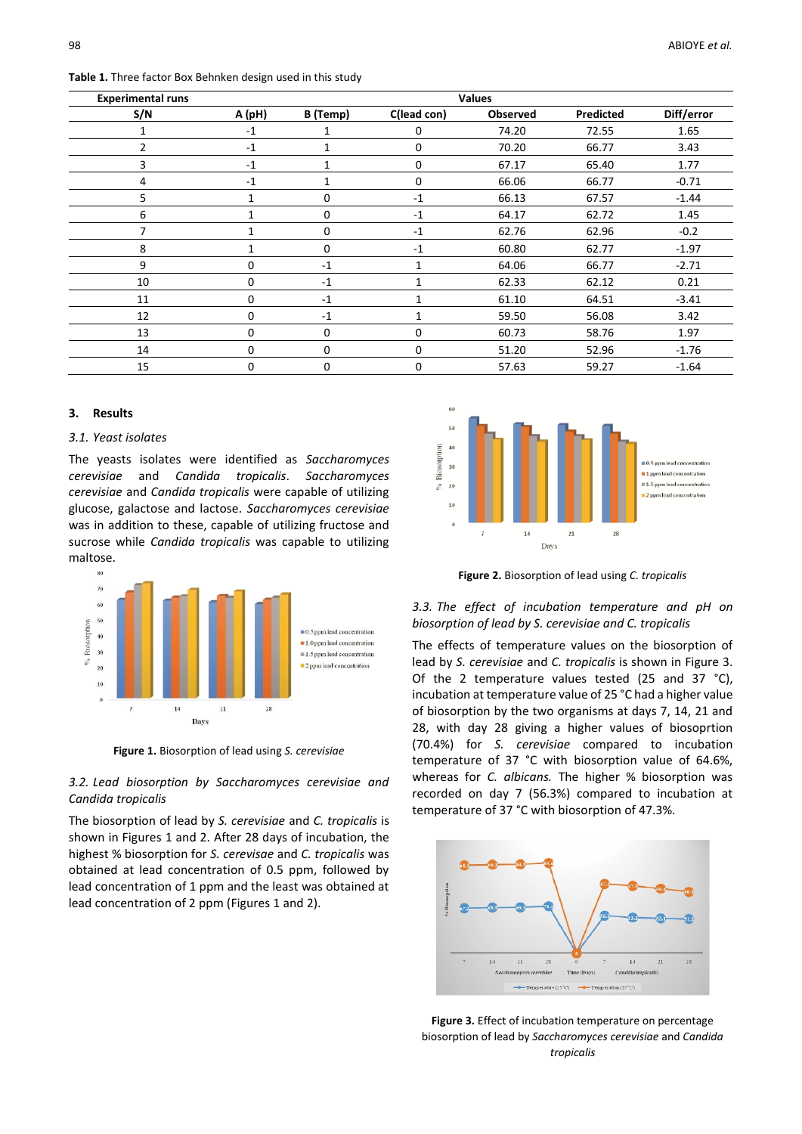**Table 1.** Three factor Box Behnken design used in this study

| <b>Experimental runs</b> | <b>Values</b> |             |              |                 |           |            |  |
|--------------------------|---------------|-------------|--------------|-----------------|-----------|------------|--|
| S/N                      | A (pH)        | B (Temp)    | C(lead con)  | <b>Observed</b> | Predicted | Diff/error |  |
| 1                        | $-1$          | 1           | 0            | 74.20           | 72.55     | 1.65       |  |
| 2                        | $-1$          | 1           | 0            | 70.20           | 66.77     | 3.43       |  |
| 3                        | $-1$          |             | 0            | 67.17           | 65.40     | 1.77       |  |
| 4                        | $-1$          |             | 0            | 66.06           | 66.77     | $-0.71$    |  |
| 5                        | 1             | $\mathbf 0$ | $-1$         | 66.13           | 67.57     | $-1.44$    |  |
| 6                        | $\mathbf{1}$  | 0           | $-1$         | 64.17           | 62.72     | 1.45       |  |
| 7                        | 1             | $\mathbf 0$ | $-1$         | 62.76           | 62.96     | $-0.2$     |  |
| 8                        | 1             | $\mathbf 0$ | $-1$         | 60.80           | 62.77     | $-1.97$    |  |
| 9                        | 0             | $-1$        | 1            | 64.06           | 66.77     | $-2.71$    |  |
| 10                       | 0             | $-1$        |              | 62.33           | 62.12     | 0.21       |  |
| 11                       | 0             | $-1$        | $\mathbf{1}$ | 61.10           | 64.51     | $-3.41$    |  |
| 12                       | 0             | $-1$        |              | 59.50           | 56.08     | 3.42       |  |
| 13                       | 0             | 0           | 0            | 60.73           | 58.76     | 1.97       |  |
| 14                       | 0             | $\Omega$    | $\Omega$     | 51.20           | 52.96     | $-1.76$    |  |
| 15                       | 0             | 0           | 0            | 57.63           | 59.27     | $-1.64$    |  |

## **3. Results**

## *3.1. Yeast isolates*

The yeasts isolates were identified as *Saccharomyces cerevisiae* and *Candida tropicalis*. *Saccharomyces cerevisiae* and *Candida tropicalis* were capable of utilizing glucose, galactose and lactose. *Saccharomyces cerevisiae* was in addition to these, capable of utilizing fructose and sucrose while *Candida tropicalis* was capable to utilizing maltose.



**Figure 1.** Biosorption of lead using *S. cerevisiae*

# *3.2. Lead biosorption by Saccharomyces cerevisiae and Candida tropicalis*

The biosorption of lead by *S. cerevisiae* and *C. tropicalis* is shown in Figures 1 and 2. After 28 days of incubation, the highest % biosorption for *S. cerevisae* and *C. tropicalis* was obtained at lead concentration of 0.5 ppm, followed by lead concentration of 1 ppm and the least was obtained at lead concentration of 2 ppm (Figures 1 and 2).



**Figure 2.** Biosorption of lead using *C. tropicalis*

## *3.3. The effect of incubation temperature and pH on biosorption of lead by S. cerevisiae and C. tropicalis*

The effects of temperature values on the biosorption of lead by *S. cerevisiae* and *C. tropicalis* is shown in Figure 3. Of the 2 temperature values tested (25 and 37 °C), incubation at temperature value of 25 °C had a higher value of biosorption by the two organisms at days 7, 14, 21 and 28, with day 28 giving a higher values of biosoprtion (70.4%) for *S. cerevisiae* compared to incubation temperature of 37 °C with biosorption value of 64.6%, whereas for *C. albicans.* The higher % biosorption was recorded on day 7 (56.3%) compared to incubation at temperature of 37 °C with biosorption of 47.3%.



**Figure 3.** Effect of incubation temperature on percentage biosorption of lead by *Saccharomyces cerevisiae* and *Candida tropicalis*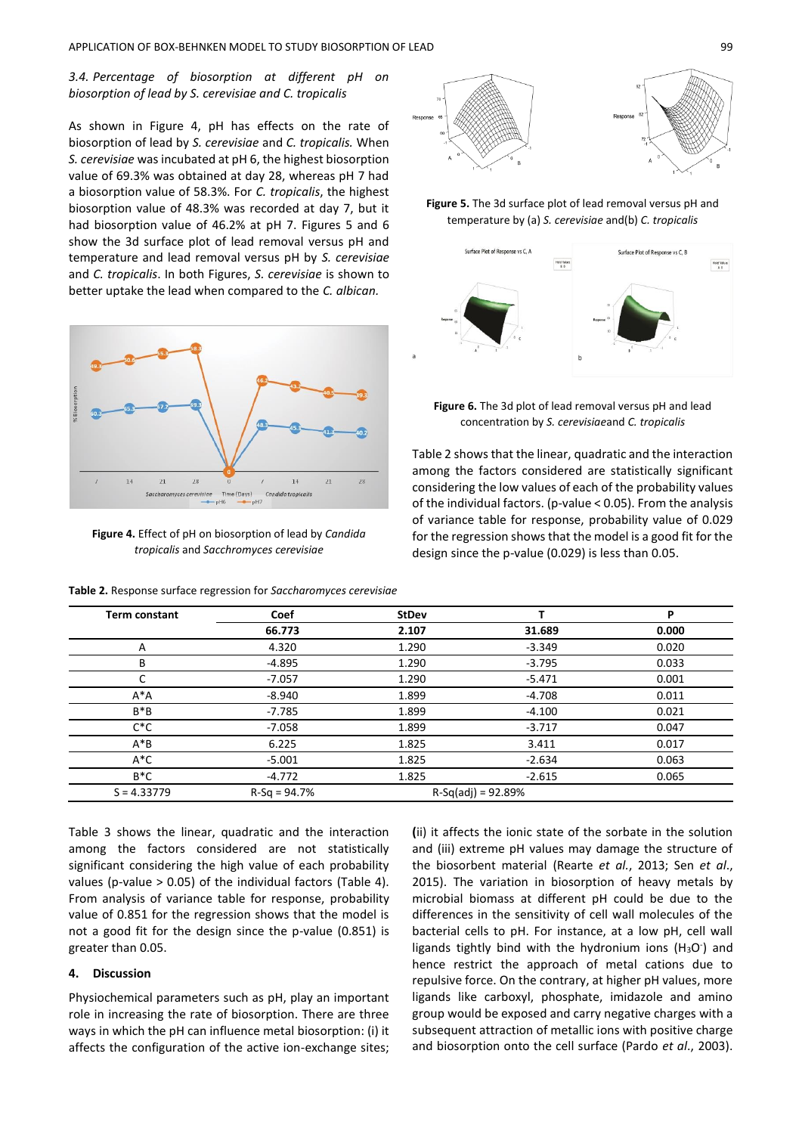# *3.4. Percentage of biosorption at different pH on biosorption of lead by S. cerevisiae and C. tropicalis*

As shown in Figure 4, pH has effects on the rate of biosorption of lead by *S. cerevisiae* and *C. tropicalis.* When *S. cerevisiae* was incubated at pH 6, the highest biosorption value of 69.3% was obtained at day 28, whereas pH 7 had a biosorption value of 58.3%. For *C. tropicalis*, the highest biosorption value of 48.3% was recorded at day 7, but it had biosorption value of 46.2% at pH 7. Figures 5 and 6 show the 3d surface plot of lead removal versus pH and temperature and lead removal versus pH by *S. cerevisiae*  and *C. tropicalis*. In both Figures, *S. cerevisiae* is shown to better uptake the lead when compared to the *C. albican.*



**Figure 4.** Effect of pH on biosorption of lead by *Candida tropicalis* and *Sacchromyces cerevisiae*

**Table 2.** Response surface regression for *Saccharomyces cerevisiae*



**Figure 5.** The 3d surface plot of lead removal versus pH and temperature by (a) *S. cerevisiae* and(b) *C. tropicalis*



**Figure 6.** The 3d plot of lead removal versus pH and lead concentration by *S. cerevisiae*and *C. tropicalis*

Table 2 shows that the linear, quadratic and the interaction among the factors considered are statistically significant considering the low values of each of the probability values of the individual factors. (p-value < 0.05). From the analysis of variance table for response, probability value of 0.029 for the regression shows that the model is a good fit for the design since the p-value (0.029) is less than 0.05.

| <b>Term constant</b> | Coef           | <b>StDev</b>         |          | P     |
|----------------------|----------------|----------------------|----------|-------|
|                      | 66.773         | 2.107                | 31.689   | 0.000 |
| Α                    | 4.320          | 1.290                | $-3.349$ | 0.020 |
| В                    | $-4.895$       | 1.290                | $-3.795$ | 0.033 |
| C                    | $-7.057$       | 1.290                | $-5.471$ | 0.001 |
| $A^*A$               | $-8.940$       | 1.899                | $-4.708$ | 0.011 |
| $B^*B$               | -7.785         | 1.899                | $-4.100$ | 0.021 |
| $C^*C$               | $-7.058$       | 1.899                | $-3.717$ | 0.047 |
| $A^*B$               | 6.225          | 1.825                | 3.411    | 0.017 |
| $A^*C$               | $-5.001$       | 1.825                | $-2.634$ | 0.063 |
| $B^*C$               | -4.772         | 1.825                | $-2.615$ | 0.065 |
| $S = 4.33779$        | $R-Sq = 94.7%$ | $R-Sq(adi) = 92.89%$ |          |       |

Table 3 shows the linear, quadratic and the interaction among the factors considered are not statistically significant considering the high value of each probability values (p-value > 0.05) of the individual factors (Table 4). From analysis of variance table for response, probability value of 0.851 for the regression shows that the model is not a good fit for the design since the p-value (0.851) is greater than 0.05.

## **4. Discussion**

Physiochemical parameters such as pH, play an important role in increasing the rate of biosorption. There are three ways in which the pH can influence metal biosorption: (i) it affects the configuration of the active ion-exchange sites; **(**ii) it affects the ionic state of the sorbate in the solution and (iii) extreme pH values may damage the structure of the biosorbent material (Rearte *et al.*, 2013; Sen *et al*., 2015). The variation in biosorption of heavy metals by microbial biomass at different pH could be due to the differences in the sensitivity of cell wall molecules of the bacterial cells to pH. For instance, at a low pH, cell wall ligands tightly bind with the hydronium ions ( $H_3O$ ) and hence restrict the approach of metal cations due to repulsive force. On the contrary, at higher pH values, more ligands like carboxyl, phosphate, imidazole and amino group would be exposed and carry negative charges with a subsequent attraction of metallic ions with positive charge and biosorption onto the cell surface (Pardo *et al*., 2003).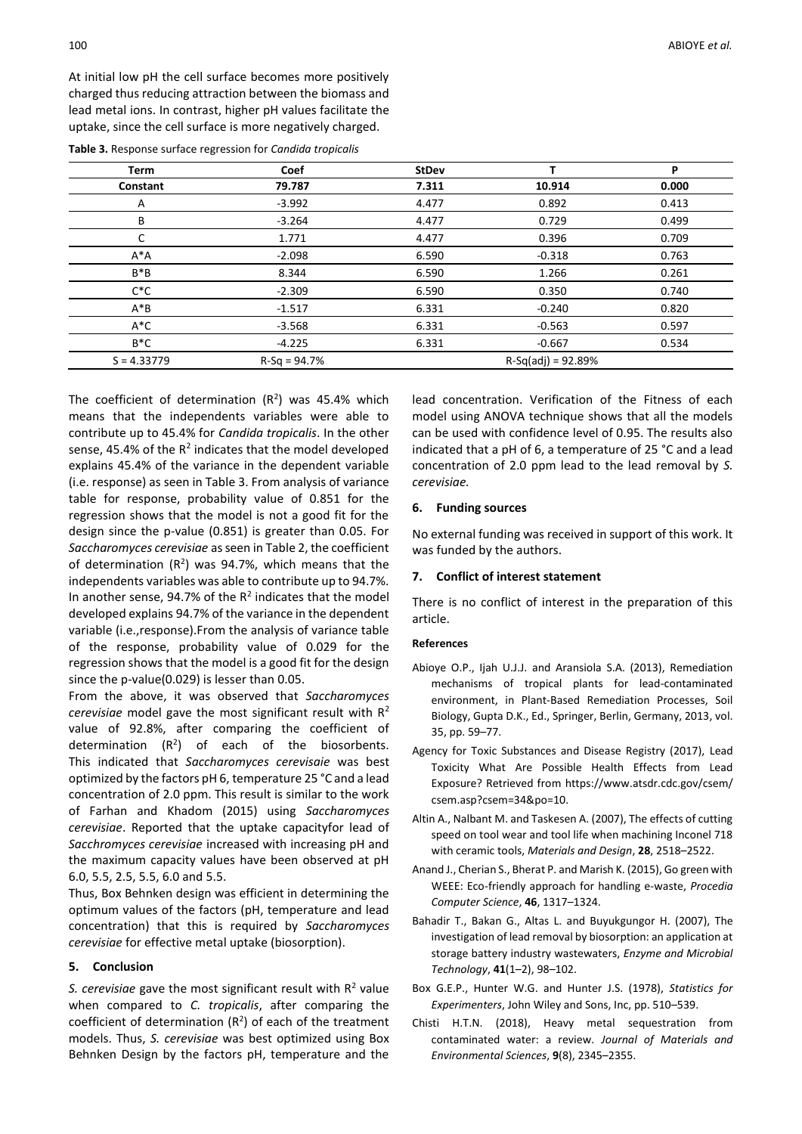At initial low pH the cell surface becomes more positively charged thus reducing attraction between the biomass and lead metal ions. In contrast, higher pH values facilitate the uptake, since the cell surface is more negatively charged.

| <b>Term</b>   | Coef           | <b>StDev</b>         |          | P     |  |
|---------------|----------------|----------------------|----------|-------|--|
| Constant      | 79.787         | 7.311                | 10.914   | 0.000 |  |
| A             | $-3.992$       | 4.477                | 0.892    | 0.413 |  |
| В             | $-3.264$       | 4.477                | 0.729    | 0.499 |  |
|               | 1.771          | 4.477                | 0.396    | 0.709 |  |
| $A^*A$        | $-2.098$       | 6.590                | $-0.318$ | 0.763 |  |
| $B^*B$        | 8.344          | 6.590                | 1.266    | 0.261 |  |
| $C^*C$        | $-2.309$       | 6.590                | 0.350    | 0.740 |  |
| $A^*B$        | $-1.517$       | 6.331                | $-0.240$ | 0.820 |  |
| $A^*C$        | $-3.568$       | 6.331                | $-0.563$ | 0.597 |  |
| $B^*C$        | $-4.225$       | 6.331                | $-0.667$ | 0.534 |  |
| $S = 4.33779$ | $R-Sq = 94.7%$ | $R-Sq(adj) = 92.89%$ |          |       |  |

The coefficient of determination  $(R^2)$  was 45.4% which means that the independents variables were able to contribute up to 45.4% for *Candida tropicalis*. In the other sense, 45.4% of the  $R^2$  indicates that the model developed explains 45.4% of the variance in the dependent variable (i.e. response) as seen in Table 3. From analysis of variance table for response, probability value of 0.851 for the regression shows that the model is not a good fit for the design since the p-value (0.851) is greater than 0.05. For *Saccharomyces cerevisiae* as seen in Table 2, the coefficient of determination  $(R^2)$  was 94.7%, which means that the independents variables was able to contribute up to 94.7%. In another sense, 94.7% of the  $R^2$  indicates that the model developed explains 94.7% of the variance in the dependent variable (i.e.,response).From the analysis of variance table of the response, probability value of 0.029 for the regression shows that the model is a good fit for the design since the p-value(0.029) is lesser than 0.05.

From the above, it was observed that *Saccharomyces cerevisiae* model gave the most significant result with R<sup>2</sup> value of 92.8%, after comparing the coefficient of determination  $(R^2)$  of each of the biosorbents. This indicated that *Saccharomyces cerevisaie* was best optimized by the factors pH 6, temperature 25 °C and a lead concentration of 2.0 ppm. This result is similar to the work of Farhan and Khadom (2015) using *Saccharomyces cerevisiae*. Reported that the uptake capacityfor lead of *Sacchromyces cerevisiae* increased with increasing pH and the maximum capacity values have been observed at pH 6.0, 5.5, 2.5, 5.5, 6.0 and 5.5.

Thus, Box Behnken design was efficient in determining the optimum values of the factors (pH, temperature and lead concentration) that this is required by *Saccharomyces cerevisiae* for effective metal uptake (biosorption).

## **5. Conclusion**

S. cerevisiae gave the most significant result with R<sup>2</sup> value when compared to *C. tropicalis*, after comparing the coefficient of determination  $(R^2)$  of each of the treatment models. Thus, *S. cerevisiae* was best optimized using Box Behnken Design by the factors pH, temperature and the

lead concentration. Verification of the Fitness of each model using ANOVA technique shows that all the models can be used with confidence level of 0.95. The results also indicated that a pH of 6, a temperature of 25 °C and a lead concentration of 2.0 ppm lead to the lead removal by *S. cerevisiae.*

## **6. Funding sources**

No external funding was received in support of this work. It was funded by the authors.

#### **7. Conflict of interest statement**

There is no conflict of interest in the preparation of this article.

## **References**

- Abioye O.P., Ijah U.J.J. and Aransiola S.A. (2013), Remediation mechanisms of tropical plants for lead-contaminated environment, in Plant-Based Remediation Processes, Soil Biology, Gupta D.K., Ed., Springer, Berlin, Germany, 2013, vol. 35, pp. 59–77.
- Agency for Toxic Substances and Disease Registry (2017), Lead Toxicity What Are Possible Health Effects from Lead Exposure? Retrieved from https://www.atsdr.cdc.gov/csem/ csem.asp?csem=34&po=10.
- Altin A., Nalbant M. and Taskesen A. (2007), The effects of cutting speed on tool wear and tool life when machining Inconel 718 with ceramic tools, *Materials and Design*, **28**, 2518–2522.
- Anand J., Cherian S., Bherat P. and Marish K. (2015), Go green with WEEE: Eco-friendly approach for handling e-waste, *Procedia Computer Science*, **46**, 1317–1324.
- Bahadir T., Bakan G., Altas L. and Buyukgungor H. (2007), The investigation of lead removal by biosorption: an application at storage battery industry wastewaters, *Enzyme and Microbial Technology*, **41**(1–2), 98–102.
- Box G.E.P., Hunter W.G. and Hunter J.S. (1978), *Statistics for Experimenters*, John Wiley and Sons, Inc, pp. 510–539.
- Chisti H.T.N. (2018), Heavy metal sequestration from contaminated water: a review. *Journal of Materials and Environmental Sciences*, **9**(8), 2345–2355.